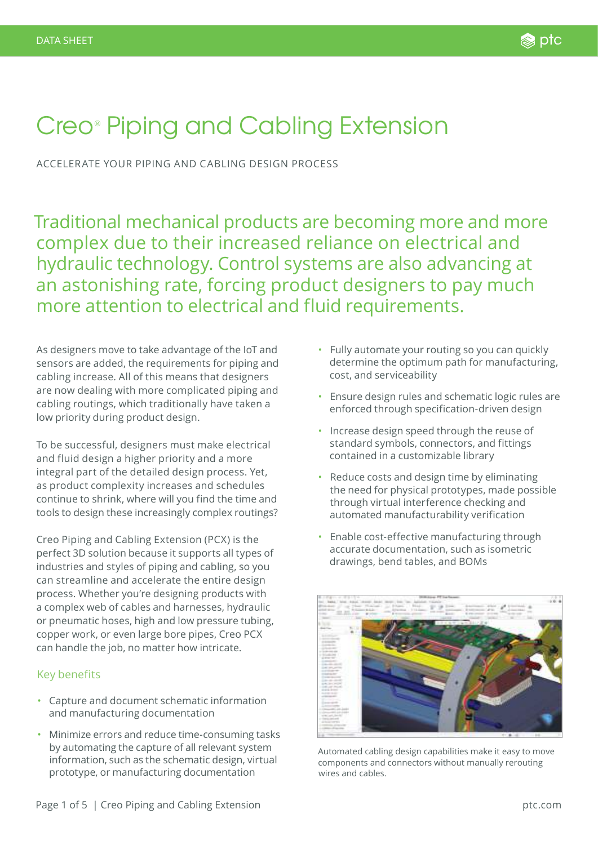# Creo® Piping and Cabling Extension

ACCELERATE YOUR PIPING AND CABLING DESIGN PROCESS

Traditional mechanical products are becoming more and more complex due to their increased reliance on electrical and hydraulic technology. Control systems are also advancing at an astonishing rate, forcing product designers to pay much more attention to electrical and fluid requirements.

As designers move to take advantage of the IoT and sensors are added, the requirements for piping and cabling increase. All of this means that designers are now dealing with more complicated piping and cabling routings, which traditionally have taken a low priority during product design.

To be successful, designers must make electrical and fluid design a higher priority and a more integral part of the detailed design process. Yet, as product complexity increases and schedules continue to shrink, where will you find the time and tools to design these increasingly complex routings?

Creo Piping and Cabling Extension (PCX) is the perfect 3D solution because it supports all types of industries and styles of piping and cabling, so you can streamline and accelerate the entire design process. Whether you're designing products with a complex web of cables and harnesses, hydraulic or pneumatic hoses, high and low pressure tubing, copper work, or even large bore pipes, Creo PCX can handle the job, no matter how intricate.

#### Key benefits

- Capture and document schematic information and manufacturing documentation
- Minimize errors and reduce time-consuming tasks by automating the capture of all relevant system information, such as the schematic design, virtual prototype, or manufacturing documentation
- Fully automate your routing so you can quickly determine the optimum path for manufacturing, cost, and serviceability
- Ensure design rules and schematic logic rules are enforced through specification-driven design
- Increase design speed through the reuse of standard symbols, connectors, and fittings contained in a customizable library
- Reduce costs and design time by eliminating the need for physical prototypes, made possible through virtual interference checking and automated manufacturability verification
- Enable cost-effective manufacturing through accurate documentation, such as isometric drawings, bend tables, and BOMs



Automated cabling design capabilities make it easy to move components and connectors without manually rerouting wires and cables.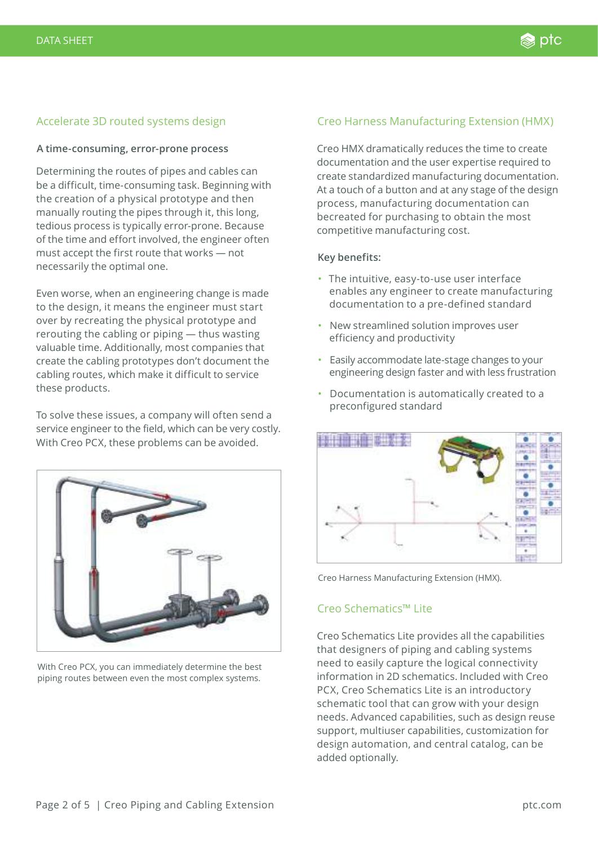# Accelerate 3D routed systems design

#### **A time-consuming, error-prone process**

Determining the routes of pipes and cables can be a difficult, time-consuming task. Beginning with the creation of a physical prototype and then manually routing the pipes through it, this long, tedious process is typically error-prone. Because of the time and effort involved, the engineer often must accept the first route that works — not necessarily the optimal one.

Even worse, when an engineering change is made to the design, it means the engineer must start over by recreating the physical prototype and rerouting the cabling or piping — thus wasting valuable time. Additionally, most companies that create the cabling prototypes don't document the cabling routes, which make it difficult to service these products.

To solve these issues, a company will often send a service engineer to the field, which can be very costly. With Creo PCX, these problems can be avoided.



With Creo PCX, you can immediately determine the best piping routes between even the most complex systems.

#### Creo Harness Manufacturing Extension (HMX)

Creo HMX dramatically reduces the time to create documentation and the user expertise required to create standardized manufacturing documentation. At a touch of a button and at any stage of the design process, manufacturing documentation can becreated for purchasing to obtain the most competitive manufacturing cost.

#### **Key benefits:**

- The intuitive, easy-to-use user interface enables any engineer to create manufacturing documentation to a pre-defined standard
- New streamlined solution improves user efficiency and productivity
- Easily accommodate late-stage changes to your engineering design faster and with less frustration
- Documentation is automatically created to a preconfigured standard



Creo Harness Manufacturing Extension (HMX).

#### Creo Schematics™ Lite

Creo Schematics Lite provides all the capabilities that designers of piping and cabling systems need to easily capture the logical connectivity information in 2D schematics. Included with Creo PCX, Creo Schematics Lite is an introductory schematic tool that can grow with your design needs. Advanced capabilities, such as design reuse support, multiuser capabilities, customization for design automation, and central catalog, can be added optionally.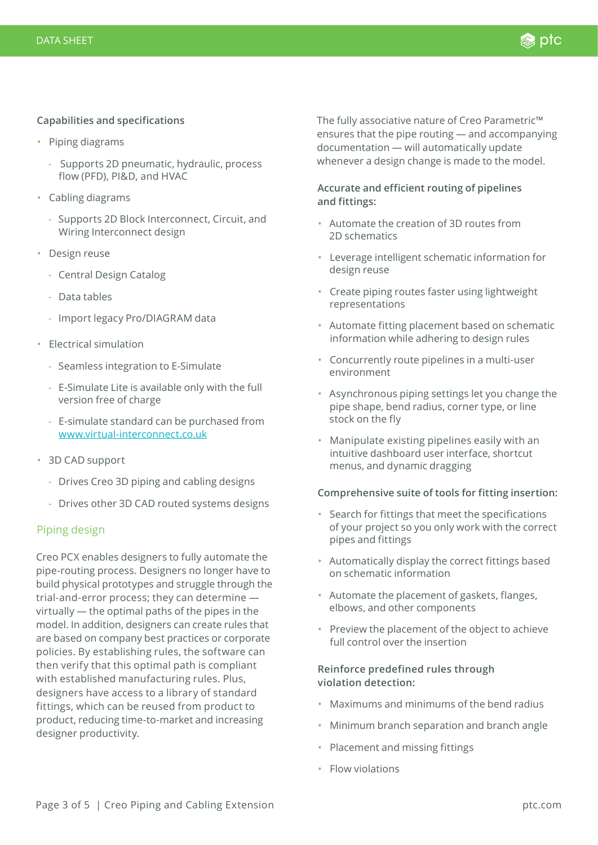#### **Capabilities and specifications**

- Piping diagrams
	- Supports 2D pneumatic, hydraulic, process flow (PFD), PI&D, and HVAC
- Cabling diagrams
	- Supports 2D Block Interconnect, Circuit, and Wiring Interconnect design
- Design reuse
	- Central Design Catalog
	- Data tables
	- Import legacy Pro/DIAGRAM data
- Electrical simulation
	- Seamless integration to E-Simulate
	- E-Simulate Lite is available only with the full version free of charge
	- E-simulate standard can be purchased from [www.virtual-interconnect.co.uk](http://www.virtual-interconnect.co.uk)
- 3D CAD support
	- Drives Creo 3D piping and cabling designs
	- Drives other 3D CAD routed systems designs

#### Piping design

Creo PCX enables designers to fully automate the pipe-routing process. Designers no longer have to build physical prototypes and struggle through the trial-and-error process; they can determine virtually — the optimal paths of the pipes in the model. In addition, designers can create rules that are based on company best practices or corporate policies. By establishing rules, the software can then verify that this optimal path is compliant with established manufacturing rules. Plus, designers have access to a library of standard fittings, which can be reused from product to product, reducing time-to-market and increasing designer productivity.

The fully associative nature of Creo Parametric™ ensures that the pipe routing — and accompanying documentation — will automatically update whenever a design change is made to the model.

# **Accurate and efficient routing of pipelines and fittings:**

- Automate the creation of 3D routes from 2D schematics
- Leverage intelligent schematic information for design reuse
- Create piping routes faster using lightweight representations
- Automate fitting placement based on schematic information while adhering to design rules
- Concurrently route pipelines in a multi-user environment
- Asynchronous piping settings let you change the pipe shape, bend radius, corner type, or line stock on the fly
- Manipulate existing pipelines easily with an intuitive dashboard user interface, shortcut menus, and dynamic dragging

#### **Comprehensive suite of tools for fitting insertion:**

- Search for fittings that meet the specifications of your project so you only work with the correct pipes and fittings
- Automatically display the correct fittings based on schematic information
- Automate the placement of gaskets, flanges, elbows, and other components
- Preview the placement of the object to achieve full control over the insertion

# **Reinforce predefined rules through violation detection:**

- Maximums and minimums of the bend radius
- Minimum branch separation and branch angle
- Placement and missing fittings
- Flow violations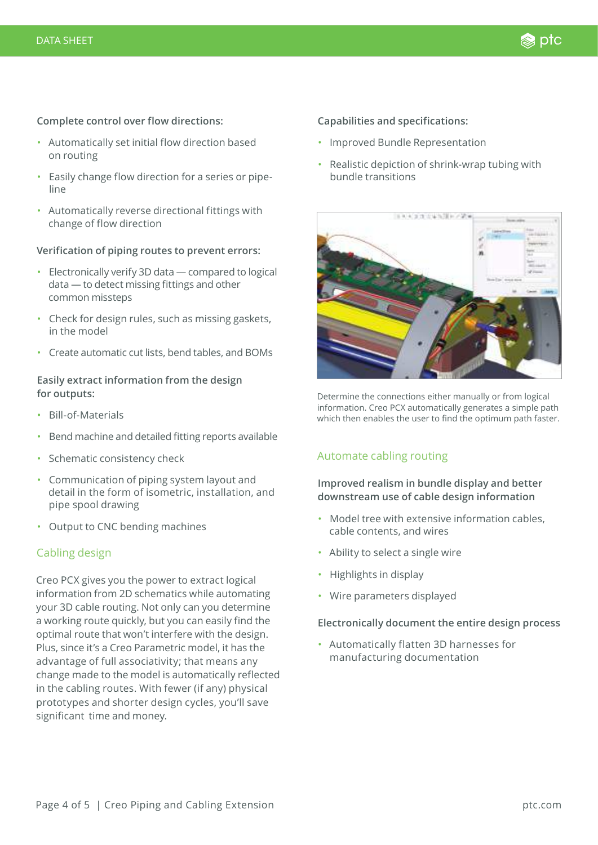#### **Complete control over flow directions:**

- Automatically set initial flow direction based on routing
- Easily change flow direction for a series or pipeline
- Automatically reverse directional fittings with change of flow direction

#### **Verification of piping routes to prevent errors:**

- Electronically verify 3D data compared to logical data — to detect missing fittings and other common missteps
- Check for design rules, such as missing gaskets, in the model
- Create automatic cut lists, bend tables, and BOMs

#### **Easily extract information from the design for outputs:**

- Bill-of-Materials
- Bend machine and detailed fitting reports available
- Schematic consistency check
- Communication of piping system layout and detail in the form of isometric, installation, and pipe spool drawing
- Output to CNC bending machines

#### Cabling design

Creo PCX gives you the power to extract logical information from 2D schematics while automating your 3D cable routing. Not only can you determine a working route quickly, but you can easily find the optimal route that won't interfere with the design. Plus, since it's a Creo Parametric model, it has the advantage of full associativity; that means any change made to the model is automatically reflected in the cabling routes. With fewer (if any) physical prototypes and shorter design cycles, you'll save significant time and money.

#### **Capabilities and specifications:**

- Improved Bundle Representation
- Realistic depiction of shrink-wrap tubing with bundle transitions



Determine the connections either manually or from logical information. Creo PCX automatically generates a simple path which then enables the user to find the optimum path faster.

#### Automate cabling routing

**Improved realism in bundle display and better downstream use of cable design information**

- Model tree with extensive information cables, cable contents, and wires
- Ability to select a single wire
- Highlights in display
- Wire parameters displayed

#### **Electronically document the entire design process**

• Automatically flatten 3D harnesses for manufacturing documentation